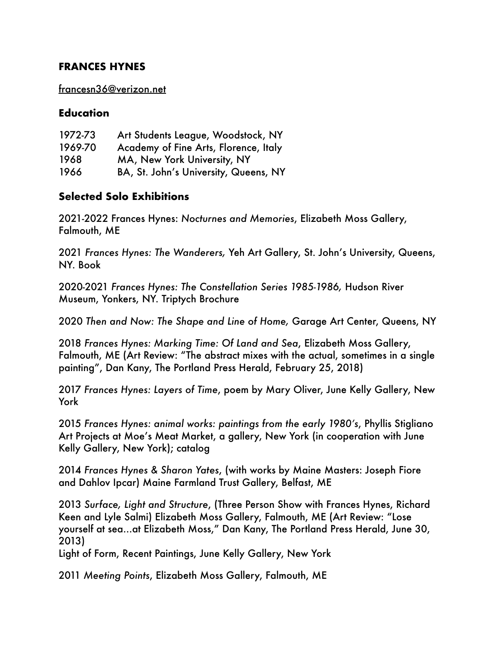#### **FRANCES HYNES**

[francesn36@verizon.net](mailto:francesn36@verizon.net)

### **Education**

| 1972-73 | Art Students League, Woodstock, NY    |
|---------|---------------------------------------|
| 1969-70 | Academy of Fine Arts, Florence, Italy |
| 1968    | MA, New York University, NY           |
| 1966    | BA, St. John's University, Queens, NY |

# **Selected Solo Exhibitions**

2021-2022 Frances Hynes: *Nocturnes and Memories*, Elizabeth Moss Gallery, Falmouth, ME

2021 *Frances Hynes: The Wanderers,* Yeh Art Gallery, St. John's University, Queens, NY. Book

2020-2021 *Frances Hynes: The Constellation Series 1985-1986,* Hudson River Museum, Yonkers, NY. Triptych Brochure

2020 *Then and Now: The Shape and Line of Home,* Garage Art Center, Queens, NY

2018 *Frances Hynes: Marking Time: Of Land and Sea*, Elizabeth Moss Gallery, Falmouth, ME (Art Review: "The abstract mixes with the actual, sometimes in a single painting", Dan Kany, The Portland Press Herald, February 25, 2018)

2017 *Frances Hynes: Layers of Time*, poem by Mary Oliver, June Kelly Gallery, New York

2015 *Frances Hynes: animal works: paintings from the early 1980's*, Phyllis Stigliano Art Projects at Moe's Meat Market, a gallery, New York (in cooperation with June Kelly Gallery, New York); catalog

2014 *Frances Hynes & Sharon Yates*, (with works by Maine Masters: Joseph Fiore and Dahlov Ipcar) Maine Farmland Trust Gallery, Belfast, ME

2013 *Surface, Light and Structure*, (Three Person Show with Frances Hynes, Richard Keen and Lyle Salmi) Elizabeth Moss Gallery, Falmouth, ME (Art Review: "Lose yourself at sea...at Elizabeth Moss," Dan Kany, The Portland Press Herald, June 30, 2013)

Light of Form, Recent Paintings, June Kelly Gallery, New York

2011 *Meeting Points*, Elizabeth Moss Gallery, Falmouth, ME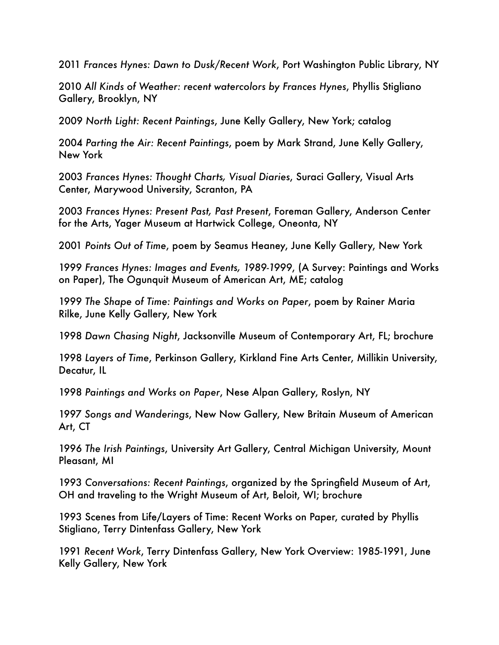2011 *Frances Hynes: Dawn to Dusk/Recent Work*, Port Washington Public Library, NY

2010 *All Kinds of Weather: recent watercolors by Frances Hynes*, Phyllis Stigliano Gallery, Brooklyn, NY

2009 *North Light: Recent Paintings*, June Kelly Gallery, New York; catalog

2004 *Parting the Air: Recent Paintings*, poem by Mark Strand, June Kelly Gallery, New York

2003 *Frances Hynes: Thought Charts, Visual Diaries*, Suraci Gallery, Visual Arts Center, Marywood University, Scranton, PA

2003 *Frances Hynes: Present Past, Past Present*, Foreman Gallery, Anderson Center for the Arts, Yager Museum at Hartwick College, Oneonta, NY

2001 *Points Out of Time*, poem by Seamus Heaney, June Kelly Gallery, New York

1999 *Frances Hynes: Images and Events, 1989-1999*, (A Survey: Paintings and Works on Paper), The Ogunquit Museum of American Art, ME; catalog

1999 *The Shape of Time: Paintings and Works on Paper*, poem by Rainer Maria Rilke, June Kelly Gallery, New York

1998 *Dawn Chasing Night*, Jacksonville Museum of Contemporary Art, FL; brochure

1998 *Layers of Time*, Perkinson Gallery, Kirkland Fine Arts Center, Millikin University, Decatur, IL

1998 *Paintings and Works on Paper*, Nese Alpan Gallery, Roslyn, NY

1997 *Songs and Wanderings*, New Now Gallery, New Britain Museum of American Art, CT

1996 *The Irish Paintings*, University Art Gallery, Central Michigan University, Mount Pleasant, MI

1993 *Conversations: Recent Paintings*, organized by the Springfield Museum of Art, OH and traveling to the Wright Museum of Art, Beloit, WI; brochure

1993 Scenes from Life/Layers of Time: Recent Works on Paper, curated by Phyllis Stigliano, Terry Dintenfass Gallery, New York

1991 *Recent Work*, Terry Dintenfass Gallery, New York Overview: 1985-1991, June Kelly Gallery, New York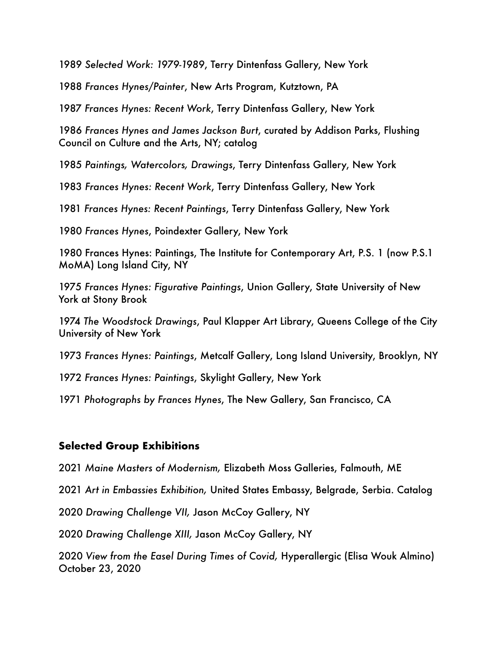*Selected Work: 1979-1989*, Terry Dintenfass Gallery, New York

 *Frances Hynes/Painter*, New Arts Program, Kutztown, PA

*Frances Hynes: Recent Work*, Terry Dintenfass Gallery, New York

*Frances Hynes and James Jackson Burt*, curated by Addison Parks, Flushing Council on Culture and the Arts, NY; catalog

*Paintings, Watercolors, Drawings*, Terry Dintenfass Gallery, New York

*Frances Hynes: Recent Work*, Terry Dintenfass Gallery, New York

 *Frances Hynes: Recent Paintings*, Terry Dintenfass Gallery, New York

*Frances Hynes*, Poindexter Gallery, New York

1980 Frances Hynes: Paintings, The Institute for Contemporary Art, P.S. 1 (now P.S.1 MoMA) Long Island City, NY

 *Frances Hynes: Figurative Paintings*, Union Gallery, State University of New York at Stony Brook

*The Woodstock Drawings*, Paul Klapper Art Library, Queens College of the City University of New York

*Frances Hynes: Paintings*, Metcalf Gallery, Long Island University, Brooklyn, NY

*Frances Hynes: Paintings*, Skylight Gallery, New York

 *Photographs by Frances Hynes*, The New Gallery, San Francisco, CA

### **Selected Group Exhibitions**

*Maine Masters of Modernism,* Elizabeth Moss Galleries, Falmouth, ME

*Art in Embassies Exhibition,* United States Embassy, Belgrade, Serbia. Catalog

*Drawing Challenge VII,* Jason McCoy Gallery, NY

*Drawing Challenge XIII,* Jason McCoy Gallery, NY

*View from the Easel During Times of Covid,* Hyperallergic (Elisa Wouk Almino) October 23, 2020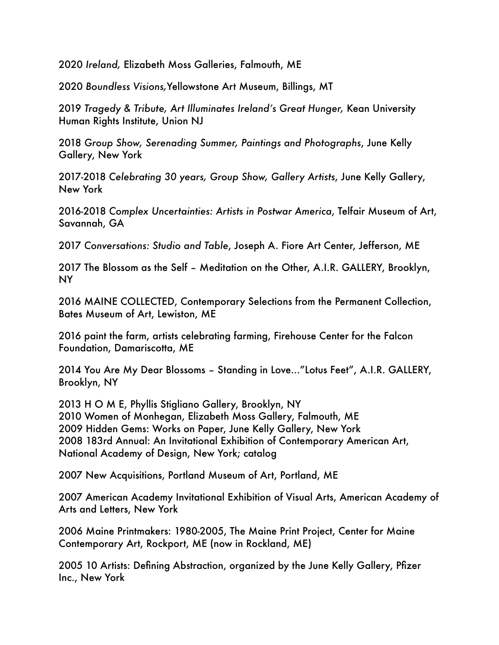2020 *Ireland,* Elizabeth Moss Galleries, Falmouth, ME

2020 *Boundless Visions,*Yellowstone Art Museum, Billings, MT

2019 *Tragedy & Tribute, Art Illuminates Ireland's Great Hunger,* Kean University Human Rights Institute, Union NJ

2018 *Group Show, Serenading Summer, Paintings and Photographs*, June Kelly Gallery, New York

2017-2018 *Celebrating 30 years, Group Show, Gallery Artists*, June Kelly Gallery, New York

2016-2018 *Complex Uncertainties: Artists in Postwar America*, Telfair Museum of Art, Savannah, GA

2017 *Conversations: Studio and Table*, Joseph A. Fiore Art Center, Jefferson, ME

2017 The Blossom as the Self – Meditation on the Other, A.I.R. GALLERY, Brooklyn, NY

2016 MAINE COLLECTED, Contemporary Selections from the Permanent Collection, Bates Museum of Art, Lewiston, ME

2016 paint the farm, artists celebrating farming, Firehouse Center for the Falcon Foundation, Damariscotta, ME

2014 You Are My Dear Blossoms – Standing in Love..."Lotus Feet", A.I.R. GALLERY, Brooklyn, NY

2013 H O M E, Phyllis Stigliano Gallery, Brooklyn, NY 2010 Women of Monhegan, Elizabeth Moss Gallery, Falmouth, ME 2009 Hidden Gems: Works on Paper, June Kelly Gallery, New York 2008 183rd Annual: An Invitational Exhibition of Contemporary American Art, National Academy of Design, New York; catalog

2007 New Acquisitions, Portland Museum of Art, Portland, ME

2007 American Academy Invitational Exhibition of Visual Arts, American Academy of Arts and Letters, New York

2006 Maine Printmakers: 1980-2005, The Maine Print Project, Center for Maine Contemporary Art, Rockport, ME (now in Rockland, ME)

2005 10 Artists: Defining Abstraction, organized by the June Kelly Gallery, Pfizer Inc., New York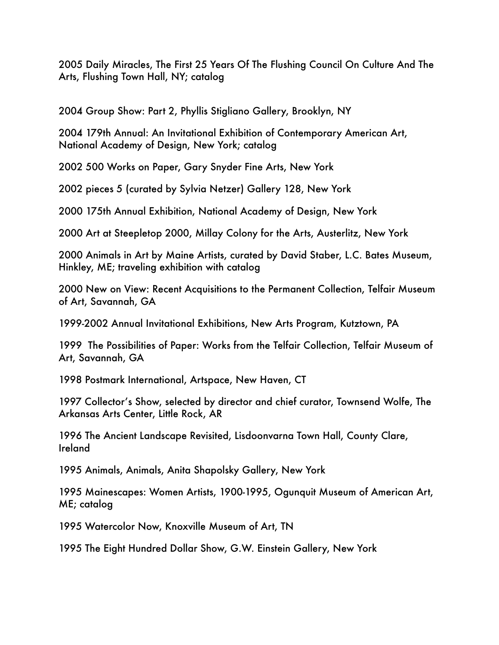2005 Daily Miracles, The First 25 Years Of The Flushing Council On Culture And The Arts, Flushing Town Hall, NY; catalog

2004 Group Show: Part 2, Phyllis Stigliano Gallery, Brooklyn, NY

2004 179th Annual: An Invitational Exhibition of Contemporary American Art, National Academy of Design, New York; catalog

2002 500 Works on Paper, Gary Snyder Fine Arts, New York

2002 pieces 5 (curated by Sylvia Netzer) Gallery 128, New York

2000 175th Annual Exhibition, National Academy of Design, New York

2000 Art at Steepletop 2000, Millay Colony for the Arts, Austerlitz, New York

2000 Animals in Art by Maine Artists, curated by David Staber, L.C. Bates Museum, Hinkley, ME; traveling exhibition with catalog

2000 New on View: Recent Acquisitions to the Permanent Collection, Telfair Museum of Art, Savannah, GA

1999-2002 Annual Invitational Exhibitions, New Arts Program, Kutztown, PA

1999 The Possibilities of Paper: Works from the Telfair Collection, Telfair Museum of Art, Savannah, GA

1998 Postmark International, Artspace, New Haven, CT

1997 Collector's Show, selected by director and chief curator, Townsend Wolfe, The Arkansas Arts Center, Little Rock, AR

1996 The Ancient Landscape Revisited, Lisdoonvarna Town Hall, County Clare, Ireland

1995 Animals, Animals, Anita Shapolsky Gallery, New York

1995 Mainescapes: Women Artists, 1900-1995, Ogunquit Museum of American Art, ME; catalog

1995 Watercolor Now, Knoxville Museum of Art, TN

1995 The Eight Hundred Dollar Show, G.W. Einstein Gallery, New York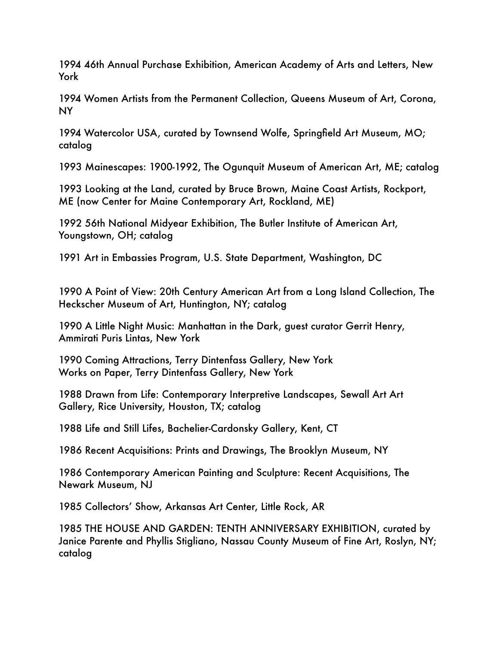1994 46th Annual Purchase Exhibition, American Academy of Arts and Letters, New York

1994 Women Artists from the Permanent Collection, Queens Museum of Art, Corona, NY

1994 Watercolor USA, curated by Townsend Wolfe, Springfield Art Museum, MO; catalog

1993 Mainescapes: 1900-1992, The Ogunquit Museum of American Art, ME; catalog

1993 Looking at the Land, curated by Bruce Brown, Maine Coast Artists, Rockport, ME (now Center for Maine Contemporary Art, Rockland, ME)

1992 56th National Midyear Exhibition, The Butler Institute of American Art, Youngstown, OH; catalog

1991 Art in Embassies Program, U.S. State Department, Washington, DC

1990 A Point of View: 20th Century American Art from a Long Island Collection, The Heckscher Museum of Art, Huntington, NY; catalog

1990 A Little Night Music: Manhattan in the Dark, guest curator Gerrit Henry, Ammirati Puris Lintas, New York

1990 Coming Attractions, Terry Dintenfass Gallery, New York Works on Paper, Terry Dintenfass Gallery, New York

1988 Drawn from Life: Contemporary Interpretive Landscapes, Sewall Art Art Gallery, Rice University, Houston, TX; catalog

1988 Life and Still Lifes, Bachelier-Cardonsky Gallery, Kent, CT

1986 Recent Acquisitions: Prints and Drawings, The Brooklyn Museum, NY

1986 Contemporary American Painting and Sculpture: Recent Acquisitions, The Newark Museum, NJ

1985 Collectors' Show, Arkansas Art Center, Little Rock, AR

1985 THE HOUSE AND GARDEN: TENTH ANNIVERSARY EXHIBITION, curated by Janice Parente and Phyllis Stigliano, Nassau County Museum of Fine Art, Roslyn, NY; catalog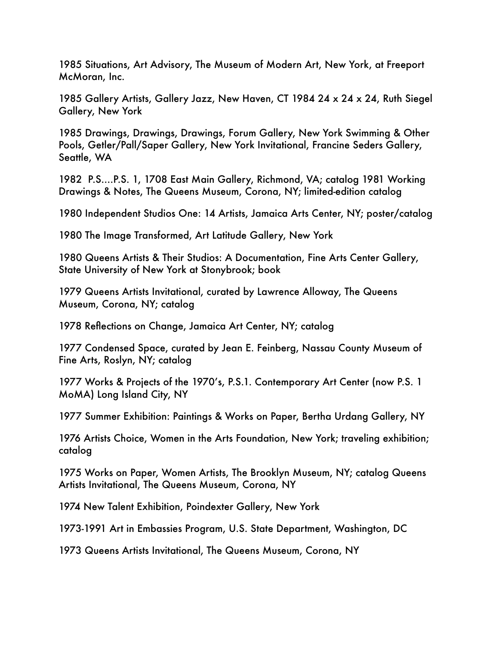1985 Situations, Art Advisory, The Museum of Modern Art, New York, at Freeport McMoran, Inc.

1985 Gallery Artists, Gallery Jazz, New Haven, CT 1984 24 x 24 x 24, Ruth Siegel Gallery, New York

1985 Drawings, Drawings, Drawings, Forum Gallery, New York Swimming & Other Pools, Getler/Pall/Saper Gallery, New York Invitational, Francine Seders Gallery, Seattle, WA

1982 P.S....P.S. 1, 1708 East Main Gallery, Richmond, VA; catalog 1981 Working Drawings & Notes, The Queens Museum, Corona, NY; limited-edition catalog

1980 Independent Studios One: 14 Artists, Jamaica Arts Center, NY; poster/catalog

1980 The Image Transformed, Art Latitude Gallery, New York

1980 Queens Artists & Their Studios: A Documentation, Fine Arts Center Gallery, State University of New York at Stonybrook; book

1979 Queens Artists Invitational, curated by Lawrence Alloway, The Queens Museum, Corona, NY; catalog

1978 Reflections on Change, Jamaica Art Center, NY; catalog

1977 Condensed Space, curated by Jean E. Feinberg, Nassau County Museum of Fine Arts, Roslyn, NY; catalog

1977 Works & Projects of the 1970's, P.S.1. Contemporary Art Center (now P.S. 1 MoMA) Long Island City, NY

1977 Summer Exhibition: Paintings & Works on Paper, Bertha Urdang Gallery, NY

1976 Artists Choice, Women in the Arts Foundation, New York; traveling exhibition; catalog

1975 Works on Paper, Women Artists, The Brooklyn Museum, NY; catalog Queens Artists Invitational, The Queens Museum, Corona, NY

1974 New Talent Exhibition, Poindexter Gallery, New York

1973-1991 Art in Embassies Program, U.S. State Department, Washington, DC

1973 Queens Artists Invitational, The Queens Museum, Corona, NY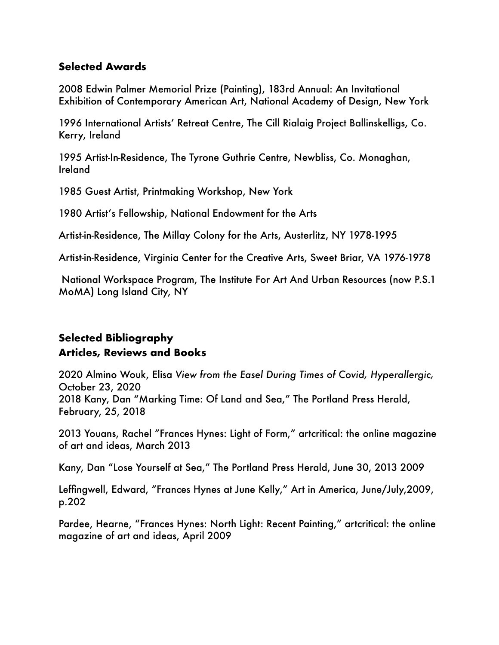### **Selected Awards**

2008 Edwin Palmer Memorial Prize (Painting), 183rd Annual: An Invitational Exhibition of Contemporary American Art, National Academy of Design, New York

1996 International Artists' Retreat Centre, The Cill Rialaig Project Ballinskelligs, Co. Kerry, Ireland

1995 Artist-In-Residence, The Tyrone Guthrie Centre, Newbliss, Co. Monaghan, Ireland

1985 Guest Artist, Printmaking Workshop, New York

1980 Artist's Fellowship, National Endowment for the Arts

Artist-in-Residence, The Millay Colony for the Arts, Austerlitz, NY 1978-1995

Artist-in-Residence, Virginia Center for the Creative Arts, Sweet Briar, VA 1976-1978

 National Workspace Program, The Institute For Art And Urban Resources (now P.S.1 MoMA) Long Island City, NY

# **Selected Bibliography Articles, Reviews and Books**

2020 Almino Wouk, Elisa *View from the Easel During Times of Covid, Hyperallergic,*  October 23, 2020 2018 Kany, Dan "Marking Time: Of Land and Sea," The Portland Press Herald, February, 25, 2018

2013 Youans, Rachel "Frances Hynes: Light of Form," artcritical: the online magazine of art and ideas, March 2013

Kany, Dan "Lose Yourself at Sea," The Portland Press Herald, June 30, 2013 2009

Leffingwell, Edward, "Frances Hynes at June Kelly," Art in America, June/July,2009, p.202

Pardee, Hearne, "Frances Hynes: North Light: Recent Painting," artcritical: the online magazine of art and ideas, April 2009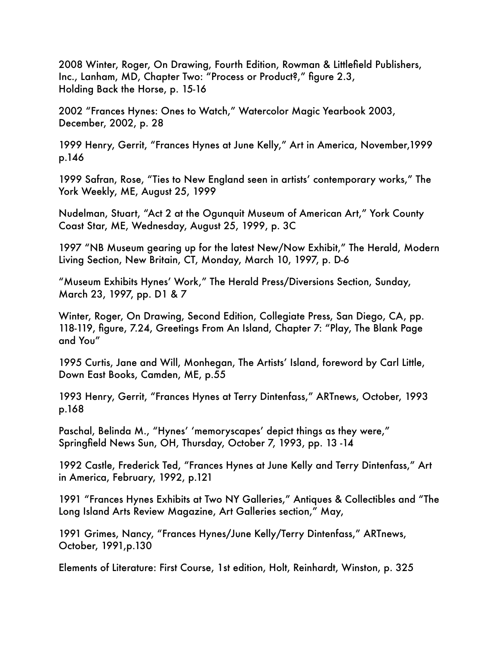2008 Winter, Roger, On Drawing, Fourth Edition, Rowman & Littlefield Publishers, Inc., Lanham, MD, Chapter Two: "Process or Product?," figure 2.3, Holding Back the Horse, p. 15-16

2002 "Frances Hynes: Ones to Watch," Watercolor Magic Yearbook 2003, December, 2002, p. 28

1999 Henry, Gerrit, "Frances Hynes at June Kelly," Art in America, November,1999 p.146

1999 Safran, Rose, "Ties to New England seen in artists' contemporary works," The York Weekly, ME, August 25, 1999

Nudelman, Stuart, "Act 2 at the Ogunquit Museum of American Art," York County Coast Star, ME, Wednesday, August 25, 1999, p. 3C

1997 "NB Museum gearing up for the latest New/Now Exhibit," The Herald, Modern Living Section, New Britain, CT, Monday, March 10, 1997, p. D-6

"Museum Exhibits Hynes' Work," The Herald Press/Diversions Section, Sunday, March 23, 1997, pp. D1 & 7

Winter, Roger, On Drawing, Second Edition, Collegiate Press, San Diego, CA, pp. 118-119, figure, 7.24, Greetings From An Island, Chapter 7: "Play, The Blank Page and You"

1995 Curtis, Jane and Will, Monhegan, The Artists' Island, foreword by Carl Little, Down East Books, Camden, ME, p.55

1993 Henry, Gerrit, "Frances Hynes at Terry Dintenfass," ARTnews, October, 1993 p.168

Paschal, Belinda M., "Hynes' 'memoryscapes' depict things as they were," Springfield News Sun, OH, Thursday, October 7, 1993, pp. 13 -14

1992 Castle, Frederick Ted, "Frances Hynes at June Kelly and Terry Dintenfass," Art in America, February, 1992, p.121

1991 "Frances Hynes Exhibits at Two NY Galleries," Antiques & Collectibles and "The Long Island Arts Review Magazine, Art Galleries section," May,

1991 Grimes, Nancy, "Frances Hynes/June Kelly/Terry Dintenfass," ARTnews, October, 1991,p.130

Elements of Literature: First Course, 1st edition, Holt, Reinhardt, Winston, p. 325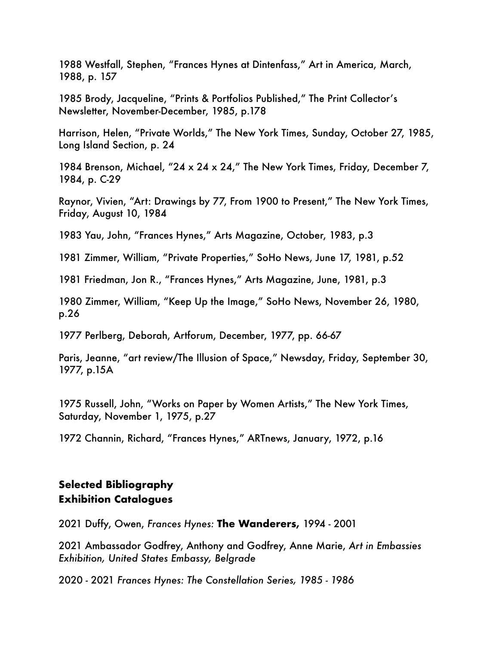1988 Westfall, Stephen, "Frances Hynes at Dintenfass," Art in America, March, 1988, p. 157

1985 Brody, Jacqueline, "Prints & Portfolios Published," The Print Collector's Newsletter, November-December, 1985, p.178

Harrison, Helen, "Private Worlds," The New York Times, Sunday, October 27, 1985, Long Island Section, p. 24

1984 Brenson, Michael, "24 x 24 x 24," The New York Times, Friday, December 7, 1984, p. C-29

Raynor, Vivien, "Art: Drawings by 77, From 1900 to Present," The New York Times, Friday, August 10, 1984

1983 Yau, John, "Frances Hynes," Arts Magazine, October, 1983, p.3

1981 Zimmer, William, "Private Properties," SoHo News, June 17, 1981, p.52

1981 Friedman, Jon R., "Frances Hynes," Arts Magazine, June, 1981, p.3

1980 Zimmer, William, "Keep Up the Image," SoHo News, November 26, 1980, p.26

1977 Perlberg, Deborah, Artforum, December, 1977, pp. 66-67

Paris, Jeanne, "art review/The Illusion of Space," Newsday, Friday, September 30, 1977, p.15A

1975 Russell, John, "Works on Paper by Women Artists," The New York Times, Saturday, November 1, 1975, p.27

1972 Channin, Richard, "Frances Hynes," ARTnews, January, 1972, p.16

# **Selected Bibliography Exhibition Catalogues**

2021 Duffy, Owen, *Frances Hynes:* **The Wanderers,** 1994 - 2001

2021 Ambassador Godfrey, Anthony and Godfrey, Anne Marie, *Art in Embassies Exhibition, United States Embassy, Belgrade*

2020 - 2021 *Frances Hynes: The Constellation Series, 1985 - 1986*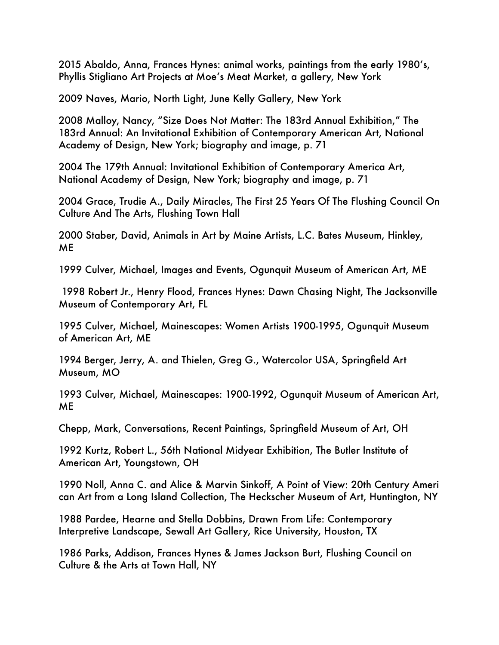2015 Abaldo, Anna, Frances Hynes: animal works, paintings from the early 1980's, Phyllis Stigliano Art Projects at Moe's Meat Market, a gallery, New York

2009 Naves, Mario, North Light, June Kelly Gallery, New York

2008 Malloy, Nancy, "Size Does Not Matter: The 183rd Annual Exhibition," The 183rd Annual: An Invitational Exhibition of Contemporary American Art, National Academy of Design, New York; biography and image, p. 71

2004 The 179th Annual: Invitational Exhibition of Contemporary America Art, National Academy of Design, New York; biography and image, p. 71

2004 Grace, Trudie A., Daily Miracles, The First 25 Years Of The Flushing Council On Culture And The Arts, Flushing Town Hall

2000 Staber, David, Animals in Art by Maine Artists, L.C. Bates Museum, Hinkley, ME

1999 Culver, Michael, Images and Events, Ogunquit Museum of American Art, ME

 1998 Robert Jr., Henry Flood, Frances Hynes: Dawn Chasing Night, The Jacksonville Museum of Contemporary Art, FL

1995 Culver, Michael, Mainescapes: Women Artists 1900-1995, Ogunquit Museum of American Art, ME

1994 Berger, Jerry, A. and Thielen, Greg G., Watercolor USA, Springfield Art Museum, MO

1993 Culver, Michael, Mainescapes: 1900-1992, Ogunquit Museum of American Art, ME

Chepp, Mark, Conversations, Recent Paintings, Springfield Museum of Art, OH

1992 Kurtz, Robert L., 56th National Midyear Exhibition, The Butler Institute of American Art, Youngstown, OH

1990 Noll, Anna C. and Alice & Marvin Sinkoff, A Point of View: 20th Century Ameri can Art from a Long Island Collection, The Heckscher Museum of Art, Huntington, NY

1988 Pardee, Hearne and Stella Dobbins, Drawn From Life: Contemporary Interpretive Landscape, Sewall Art Gallery, Rice University, Houston, TX

1986 Parks, Addison, Frances Hynes & James Jackson Burt, Flushing Council on Culture & the Arts at Town Hall, NY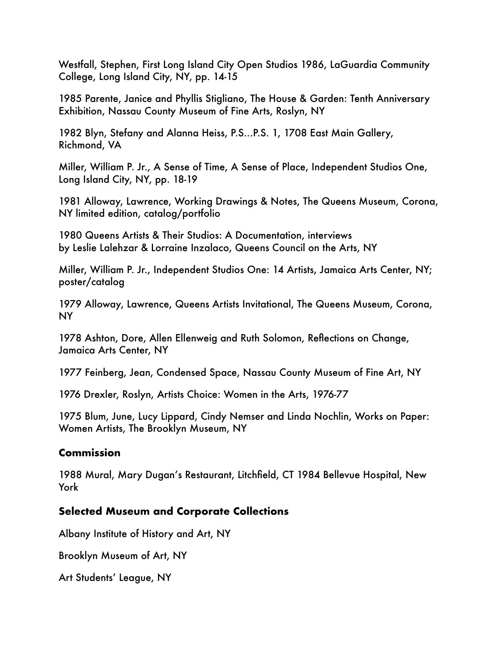Westfall, Stephen, First Long Island City Open Studios 1986, LaGuardia Community College, Long Island City, NY, pp. 14-15

1985 Parente, Janice and Phyllis Stigliano, The House & Garden: Tenth Anniversary Exhibition, Nassau County Museum of Fine Arts, Roslyn, NY

1982 Blyn, Stefany and Alanna Heiss, P.S...P.S. 1, 1708 East Main Gallery, Richmond, VA

Miller, William P. Jr., A Sense of Time, A Sense of Place, Independent Studios One, Long Island City, NY, pp. 18-19

1981 Alloway, Lawrence, Working Drawings & Notes, The Queens Museum, Corona, NY limited edition, catalog/portfolio

1980 Queens Artists & Their Studios: A Documentation, interviews by Leslie Lalehzar & Lorraine Inzalaco, Queens Council on the Arts, NY

Miller, William P. Jr., Independent Studios One: 14 Artists, Jamaica Arts Center, NY; poster/catalog

1979 Alloway, Lawrence, Queens Artists Invitational, The Queens Museum, Corona, NY

1978 Ashton, Dore, Allen Ellenweig and Ruth Solomon, Reflections on Change, Jamaica Arts Center, NY

1977 Feinberg, Jean, Condensed Space, Nassau County Museum of Fine Art, NY

1976 Drexler, Roslyn, Artists Choice: Women in the Arts, 1976-77

1975 Blum, June, Lucy Lippard, Cindy Nemser and Linda Nochlin, Works on Paper: Women Artists, The Brooklyn Museum, NY

### **Commission**

1988 Mural, Mary Dugan's Restaurant, Litchfield, CT 1984 Bellevue Hospital, New York

### **Selected Museum and Corporate Collections**

Albany Institute of History and Art, NY

Brooklyn Museum of Art, NY

Art Students' League, NY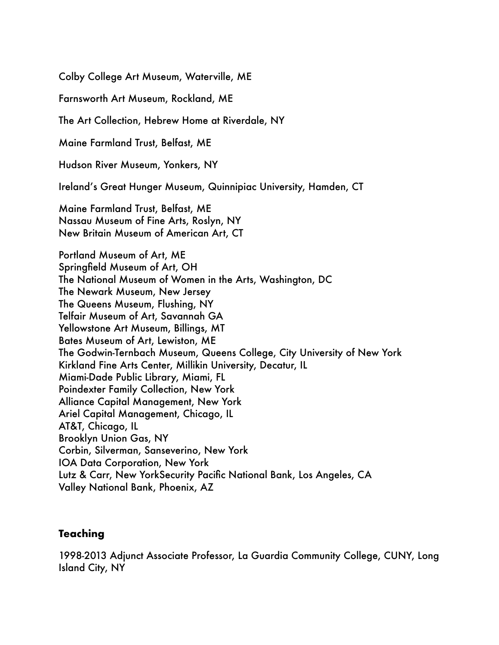Colby College Art Museum, Waterville, ME

Farnsworth Art Museum, Rockland, ME

The Art Collection, Hebrew Home at Riverdale, NY

Maine Farmland Trust, Belfast, ME

Hudson River Museum, Yonkers, NY

Ireland's Great Hunger Museum, Quinnipiac University, Hamden, CT

Maine Farmland Trust, Belfast, ME Nassau Museum of Fine Arts, Roslyn, NY New Britain Museum of American Art, CT

Portland Museum of Art, ME Springfield Museum of Art, OH The National Museum of Women in the Arts, Washington, DC The Newark Museum, New Jersey The Queens Museum, Flushing, NY Telfair Museum of Art, Savannah GA Yellowstone Art Museum, Billings, MT Bates Museum of Art, Lewiston, ME The Godwin-Ternbach Museum, Queens College, City University of New York Kirkland Fine Arts Center, Millikin University, Decatur, IL Miami-Dade Public Library, Miami, FL Poindexter Family Collection, New York Alliance Capital Management, New York Ariel Capital Management, Chicago, IL AT&T, Chicago, IL Brooklyn Union Gas, NY Corbin, Silverman, Sanseverino, New York IOA Data Corporation, New York Lutz & Carr, New YorkSecurity Pacific National Bank, Los Angeles, CA Valley National Bank, Phoenix, AZ

#### **Teaching**

1998-2013 Adjunct Associate Professor, La Guardia Community College, CUNY, Long Island City, NY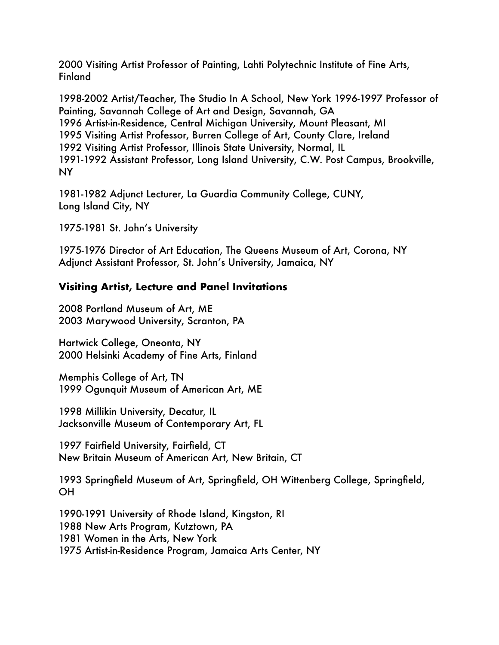2000 Visiting Artist Professor of Painting, Lahti Polytechnic Institute of Fine Arts, **Finland** 

1998-2002 Artist/Teacher, The Studio In A School, New York 1996-1997 Professor of Painting, Savannah College of Art and Design, Savannah, GA 1996 Artist-in-Residence, Central Michigan University, Mount Pleasant, MI 1995 Visiting Artist Professor, Burren College of Art, County Clare, Ireland 1992 Visiting Artist Professor, Illinois State University, Normal, IL 1991-1992 Assistant Professor, Long Island University, C.W. Post Campus, Brookville, NY

1981-1982 Adjunct Lecturer, La Guardia Community College, CUNY, Long Island City, NY

1975-1981 St. John's University

1975-1976 Director of Art Education, The Queens Museum of Art, Corona, NY Adjunct Assistant Professor, St. John's University, Jamaica, NY

# **Visiting Artist, Lecture and Panel Invitations**

2008 Portland Museum of Art, ME 2003 Marywood University, Scranton, PA

Hartwick College, Oneonta, NY 2000 Helsinki Academy of Fine Arts, Finland

Memphis College of Art, TN 1999 Ogunquit Museum of American Art, ME

1998 Millikin University, Decatur, IL Jacksonville Museum of Contemporary Art, FL

1997 Fairfield University, Fairfield, CT New Britain Museum of American Art, New Britain, CT

1993 Springfield Museum of Art, Springfield, OH Wittenberg College, Springfield, OH

1990-1991 University of Rhode Island, Kingston, RI 1988 New Arts Program, Kutztown, PA 1981 Women in the Arts, New York 1975 Artist-in-Residence Program, Jamaica Arts Center, NY